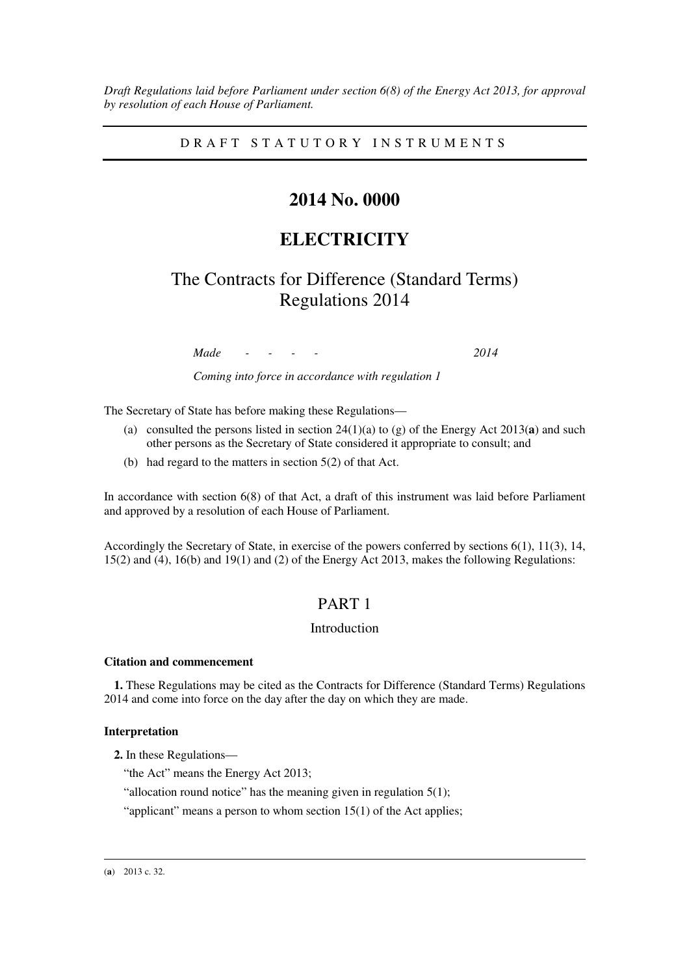*Draft Regulations laid before Parliament under section 6(8) of the Energy Act 2013, for approval by resolution of each House of Parliament.* 

D R A F T S T A T U T O R Y I N S T R U M E N T S

# **2014 No. 0000**

# **ELECTRICITY**

# The Contracts for Difference (Standard Terms) Regulations 2014

*Made - - - - 2014* 

*Coming into force in accordance with regulation 1* 

The Secretary of State has before making these Regulations—

- (a) consulted the persons listed in section 24(1)(a) to (g) of the Energy Act 2013(**a**) and such other persons as the Secretary of State considered it appropriate to consult; and
- (b) had regard to the matters in section 5(2) of that Act.

In accordance with section 6(8) of that Act, a draft of this instrument was laid before Parliament and approved by a resolution of each House of Parliament.

Accordingly the Secretary of State, in exercise of the powers conferred by sections  $6(1)$ ,  $11(3)$ ,  $14$ , 15(2) and (4), 16(b) and 19(1) and (2) of the Energy Act 2013, makes the following Regulations:

# PART 1

# Introduction

#### **Citation and commencement**

**1.** These Regulations may be cited as the Contracts for Difference (Standard Terms) Regulations 2014 and come into force on the day after the day on which they are made.

#### **Interpretation**

**2.** In these Regulations—

"the Act" means the Energy Act 2013;

"allocation round notice" has the meaning given in regulation  $5(1)$ ;

"applicant" means a person to whom section 15(1) of the Act applies;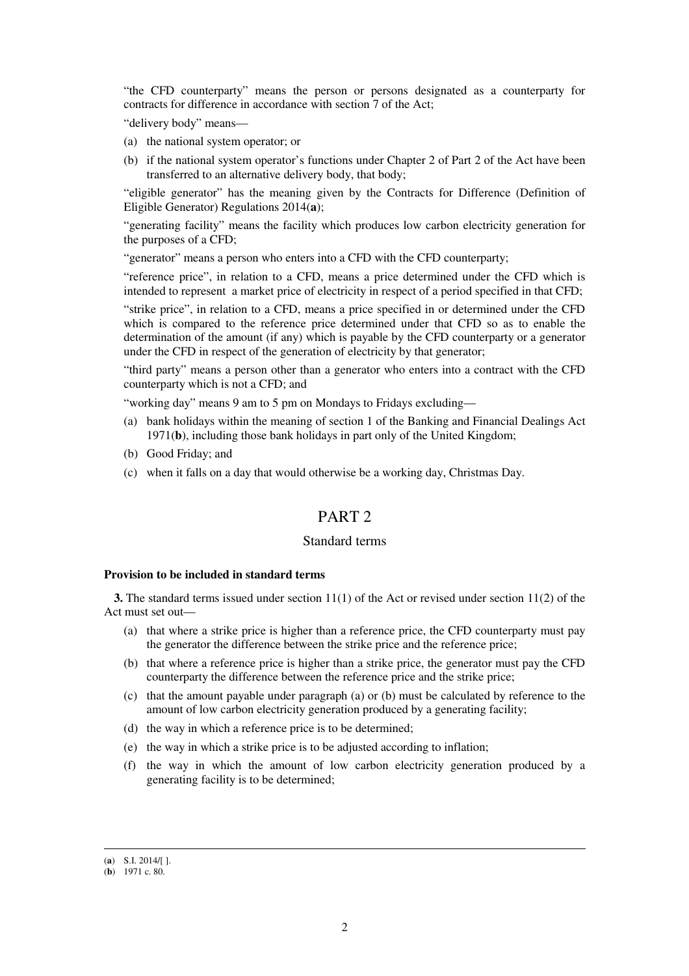"the CFD counterparty" means the person or persons designated as a counterparty for contracts for difference in accordance with section 7 of the Act;

"delivery body" means—

- (a) the national system operator; or
- (b) if the national system operator's functions under Chapter 2 of Part 2 of the Act have been transferred to an alternative delivery body, that body;

"eligible generator" has the meaning given by the Contracts for Difference (Definition of Eligible Generator) Regulations 2014(**a**);

"generating facility" means the facility which produces low carbon electricity generation for the purposes of a CFD;

"generator" means a person who enters into a CFD with the CFD counterparty;

"reference price", in relation to a CFD, means a price determined under the CFD which is intended to represent a market price of electricity in respect of a period specified in that CFD;

"strike price", in relation to a CFD, means a price specified in or determined under the CFD which is compared to the reference price determined under that CFD so as to enable the determination of the amount (if any) which is payable by the CFD counterparty or a generator under the CFD in respect of the generation of electricity by that generator;

"third party" means a person other than a generator who enters into a contract with the CFD counterparty which is not a CFD; and

"working day" means 9 am to 5 pm on Mondays to Fridays excluding—

- (a) bank holidays within the meaning of section 1 of the Banking and Financial Dealings Act 1971(**b**), including those bank holidays in part only of the United Kingdom;
- (b) Good Friday; and
- (c) when it falls on a day that would otherwise be a working day, Christmas Day.

# PART 2

#### Standard terms

#### **Provision to be included in standard terms**

**3.** The standard terms issued under section 11(1) of the Act or revised under section 11(2) of the Act must set out—

- (a) that where a strike price is higher than a reference price, the CFD counterparty must pay the generator the difference between the strike price and the reference price;
- (b) that where a reference price is higher than a strike price, the generator must pay the CFD counterparty the difference between the reference price and the strike price;
- (c) that the amount payable under paragraph (a) or (b) must be calculated by reference to the amount of low carbon electricity generation produced by a generating facility;
- (d) the way in which a reference price is to be determined;
- (e) the way in which a strike price is to be adjusted according to inflation;
- (f) the way in which the amount of low carbon electricity generation produced by a generating facility is to be determined;

<sup>(</sup>**a**) S.I. 2014/[ ].

<sup>(</sup>**b**) 1971 c. 80.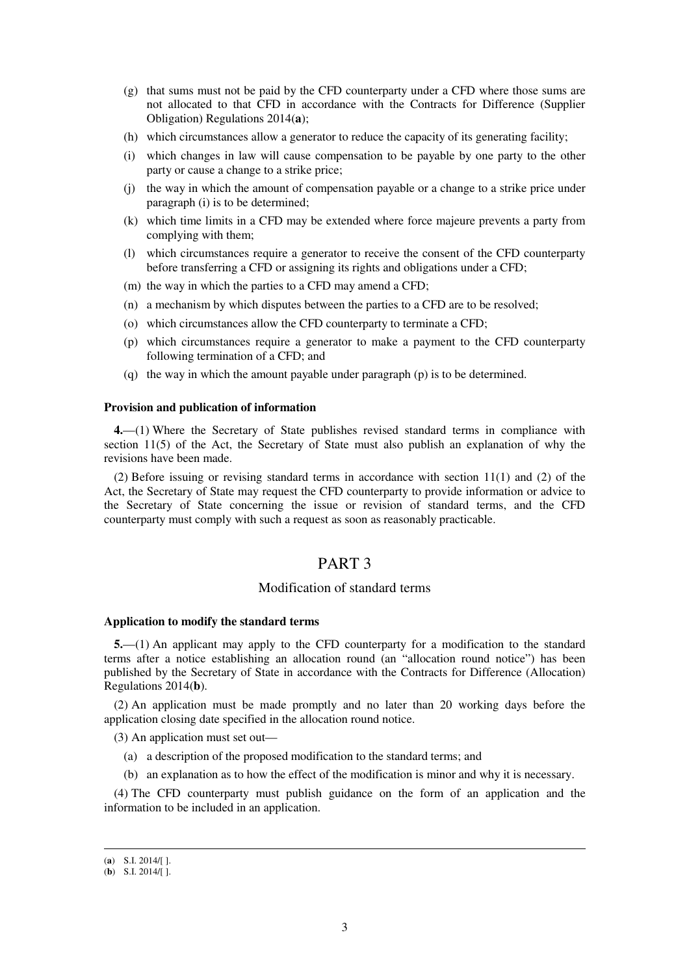- (g) that sums must not be paid by the CFD counterparty under a CFD where those sums are not allocated to that CFD in accordance with the Contracts for Difference (Supplier Obligation) Regulations 2014(**a**);
- (h) which circumstances allow a generator to reduce the capacity of its generating facility;
- (i) which changes in law will cause compensation to be payable by one party to the other party or cause a change to a strike price;
- (j) the way in which the amount of compensation payable or a change to a strike price under paragraph (i) is to be determined;
- (k) which time limits in a CFD may be extended where force majeure prevents a party from complying with them;
- (l) which circumstances require a generator to receive the consent of the CFD counterparty before transferring a CFD or assigning its rights and obligations under a CFD;
- (m) the way in which the parties to a CFD may amend a CFD;
- (n) a mechanism by which disputes between the parties to a CFD are to be resolved;
- (o) which circumstances allow the CFD counterparty to terminate a CFD;
- (p) which circumstances require a generator to make a payment to the CFD counterparty following termination of a CFD; and
- (q) the way in which the amount payable under paragraph (p) is to be determined.

#### **Provision and publication of information**

**4.**—(1) Where the Secretary of State publishes revised standard terms in compliance with section 11(5) of the Act, the Secretary of State must also publish an explanation of why the revisions have been made.

(2) Before issuing or revising standard terms in accordance with section 11(1) and (2) of the Act, the Secretary of State may request the CFD counterparty to provide information or advice to the Secretary of State concerning the issue or revision of standard terms, and the CFD counterparty must comply with such a request as soon as reasonably practicable.

### PART 3

### Modification of standard terms

#### **Application to modify the standard terms**

**5.**—(1) An applicant may apply to the CFD counterparty for a modification to the standard terms after a notice establishing an allocation round (an "allocation round notice") has been published by the Secretary of State in accordance with the Contracts for Difference (Allocation) Regulations 2014(**b**).

(2) An application must be made promptly and no later than 20 working days before the application closing date specified in the allocation round notice.

(3) An application must set out—

- (a) a description of the proposed modification to the standard terms; and
- (b) an explanation as to how the effect of the modification is minor and why it is necessary.

(4) The CFD counterparty must publish guidance on the form of an application and the information to be included in an application.

<sup>(</sup>**a**) S.I. 2014/[ ].

<sup>(</sup>**b**) S.I. 2014/[ ].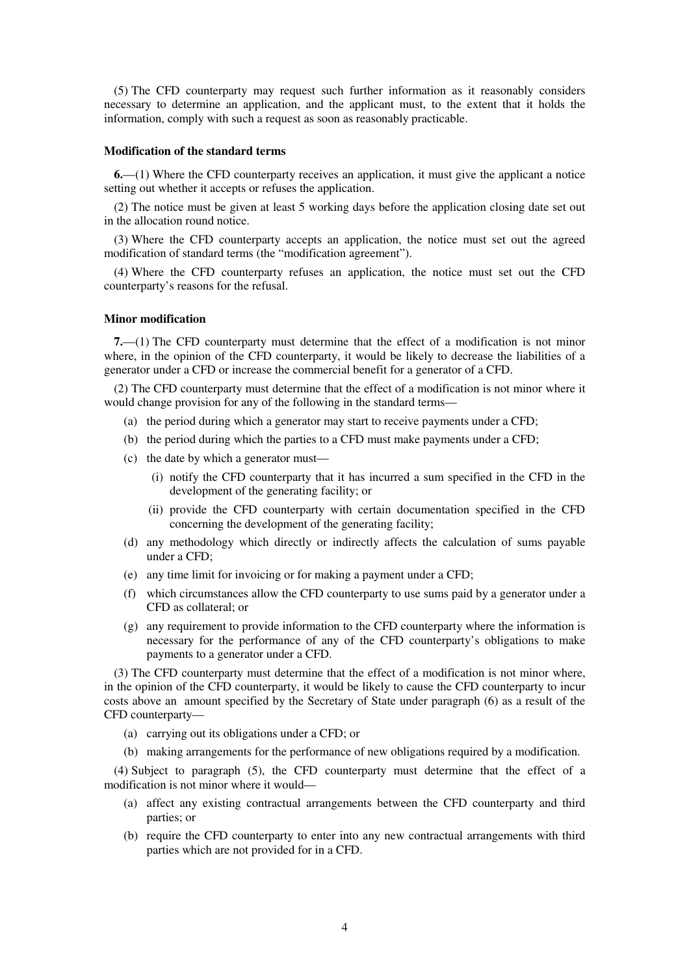(5) The CFD counterparty may request such further information as it reasonably considers necessary to determine an application, and the applicant must, to the extent that it holds the information, comply with such a request as soon as reasonably practicable.

#### **Modification of the standard terms**

**6.**—(1) Where the CFD counterparty receives an application, it must give the applicant a notice setting out whether it accepts or refuses the application.

(2) The notice must be given at least 5 working days before the application closing date set out in the allocation round notice.

(3) Where the CFD counterparty accepts an application, the notice must set out the agreed modification of standard terms (the "modification agreement").

(4) Where the CFD counterparty refuses an application, the notice must set out the CFD counterparty's reasons for the refusal.

#### **Minor modification**

**7.**—(1) The CFD counterparty must determine that the effect of a modification is not minor where, in the opinion of the CFD counterparty, it would be likely to decrease the liabilities of a generator under a CFD or increase the commercial benefit for a generator of a CFD.

(2) The CFD counterparty must determine that the effect of a modification is not minor where it would change provision for any of the following in the standard terms—

- (a) the period during which a generator may start to receive payments under a CFD;
- (b) the period during which the parties to a CFD must make payments under a CFD;
- (c) the date by which a generator must—
	- (i) notify the CFD counterparty that it has incurred a sum specified in the CFD in the development of the generating facility; or
	- (ii) provide the CFD counterparty with certain documentation specified in the CFD concerning the development of the generating facility;
- (d) any methodology which directly or indirectly affects the calculation of sums payable under a CFD;
- (e) any time limit for invoicing or for making a payment under a CFD;
- (f) which circumstances allow the CFD counterparty to use sums paid by a generator under a CFD as collateral; or
- (g) any requirement to provide information to the CFD counterparty where the information is necessary for the performance of any of the CFD counterparty's obligations to make payments to a generator under a CFD.

(3) The CFD counterparty must determine that the effect of a modification is not minor where, in the opinion of the CFD counterparty, it would be likely to cause the CFD counterparty to incur costs above an amount specified by the Secretary of State under paragraph (6) as a result of the CFD counterparty—

- (a) carrying out its obligations under a CFD; or
- (b) making arrangements for the performance of new obligations required by a modification.

(4) Subject to paragraph (5), the CFD counterparty must determine that the effect of a modification is not minor where it would—

- (a) affect any existing contractual arrangements between the CFD counterparty and third parties; or
- (b) require the CFD counterparty to enter into any new contractual arrangements with third parties which are not provided for in a CFD.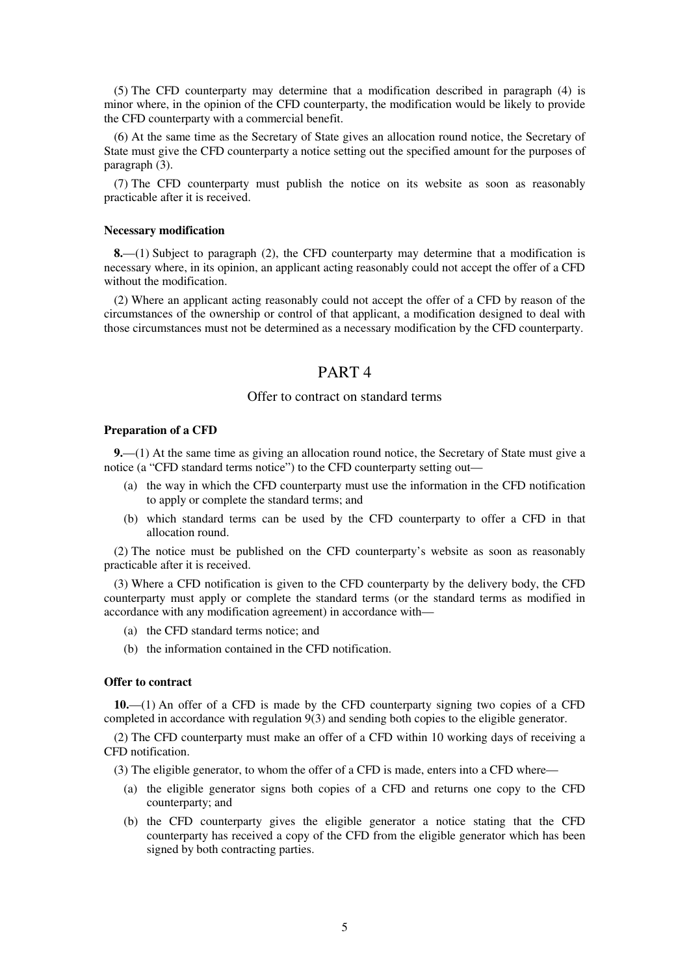(5) The CFD counterparty may determine that a modification described in paragraph (4) is minor where, in the opinion of the CFD counterparty, the modification would be likely to provide the CFD counterparty with a commercial benefit.

(6) At the same time as the Secretary of State gives an allocation round notice, the Secretary of State must give the CFD counterparty a notice setting out the specified amount for the purposes of paragraph (3).

(7) The CFD counterparty must publish the notice on its website as soon as reasonably practicable after it is received.

#### **Necessary modification**

**8.**—(1) Subject to paragraph (2), the CFD counterparty may determine that a modification is necessary where, in its opinion, an applicant acting reasonably could not accept the offer of a CFD without the modification.

(2) Where an applicant acting reasonably could not accept the offer of a CFD by reason of the circumstances of the ownership or control of that applicant, a modification designed to deal with those circumstances must not be determined as a necessary modification by the CFD counterparty.

# PART 4

#### Offer to contract on standard terms

#### **Preparation of a CFD**

**9.**—(1) At the same time as giving an allocation round notice, the Secretary of State must give a notice (a "CFD standard terms notice") to the CFD counterparty setting out—

- (a) the way in which the CFD counterparty must use the information in the CFD notification to apply or complete the standard terms; and
- (b) which standard terms can be used by the CFD counterparty to offer a CFD in that allocation round.

(2) The notice must be published on the CFD counterparty's website as soon as reasonably practicable after it is received.

(3) Where a CFD notification is given to the CFD counterparty by the delivery body, the CFD counterparty must apply or complete the standard terms (or the standard terms as modified in accordance with any modification agreement) in accordance with—

- (a) the CFD standard terms notice; and
- (b) the information contained in the CFD notification.

### **Offer to contract**

**10.**—(1) An offer of a CFD is made by the CFD counterparty signing two copies of a CFD completed in accordance with regulation 9(3) and sending both copies to the eligible generator.

(2) The CFD counterparty must make an offer of a CFD within 10 working days of receiving a CFD notification.

(3) The eligible generator, to whom the offer of a CFD is made, enters into a CFD where—

- (a) the eligible generator signs both copies of a CFD and returns one copy to the CFD counterparty; and
- (b) the CFD counterparty gives the eligible generator a notice stating that the CFD counterparty has received a copy of the CFD from the eligible generator which has been signed by both contracting parties.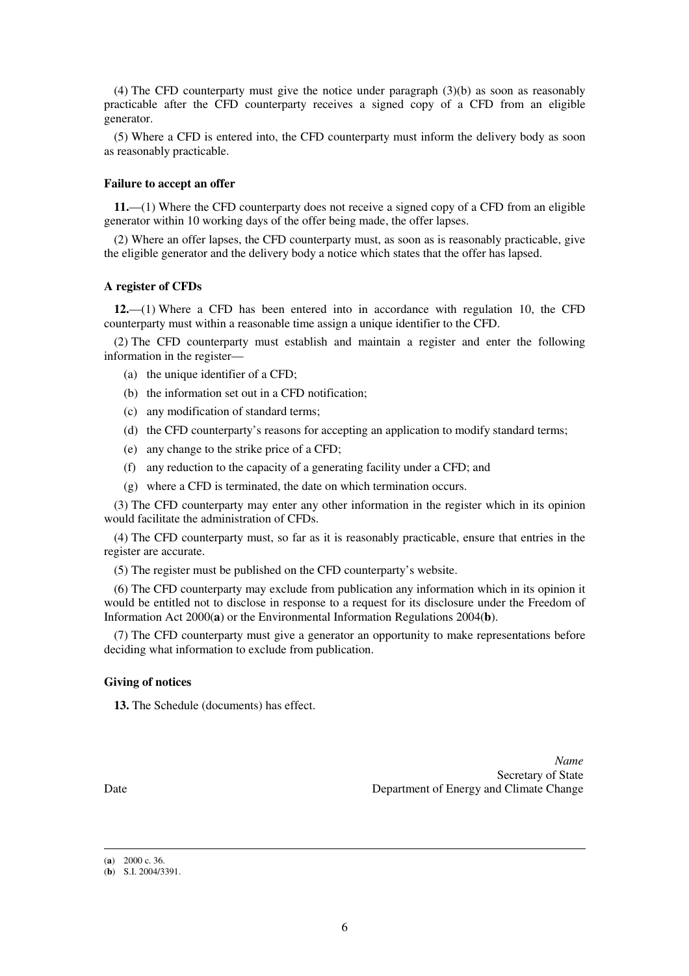(4) The CFD counterparty must give the notice under paragraph (3)(b) as soon as reasonably practicable after the CFD counterparty receives a signed copy of a CFD from an eligible generator.

(5) Where a CFD is entered into, the CFD counterparty must inform the delivery body as soon as reasonably practicable.

#### **Failure to accept an offer**

**11.**—(1) Where the CFD counterparty does not receive a signed copy of a CFD from an eligible generator within 10 working days of the offer being made, the offer lapses.

(2) Where an offer lapses, the CFD counterparty must, as soon as is reasonably practicable, give the eligible generator and the delivery body a notice which states that the offer has lapsed.

#### **A register of CFDs**

**12.**—(1) Where a CFD has been entered into in accordance with regulation 10, the CFD counterparty must within a reasonable time assign a unique identifier to the CFD.

(2) The CFD counterparty must establish and maintain a register and enter the following information in the register—

- (a) the unique identifier of a CFD;
- (b) the information set out in a CFD notification;
- (c) any modification of standard terms;
- (d) the CFD counterparty's reasons for accepting an application to modify standard terms;
- (e) any change to the strike price of a CFD;
- (f) any reduction to the capacity of a generating facility under a CFD; and
- (g) where a CFD is terminated, the date on which termination occurs.

(3) The CFD counterparty may enter any other information in the register which in its opinion would facilitate the administration of CFDs.

(4) The CFD counterparty must, so far as it is reasonably practicable, ensure that entries in the register are accurate.

(5) The register must be published on the CFD counterparty's website.

(6) The CFD counterparty may exclude from publication any information which in its opinion it would be entitled not to disclose in response to a request for its disclosure under the Freedom of Information Act 2000(**a**) or the Environmental Information Regulations 2004(**b**).

(7) The CFD counterparty must give a generator an opportunity to make representations before deciding what information to exclude from publication.

#### **Giving of notices**

**13.** The Schedule (documents) has effect.

*Name* Secretary of State Date Department of Energy and Climate Change

<sup>(</sup>**a**) 2000 c. 36.

<sup>(</sup>**b**) S.I. 2004/3391.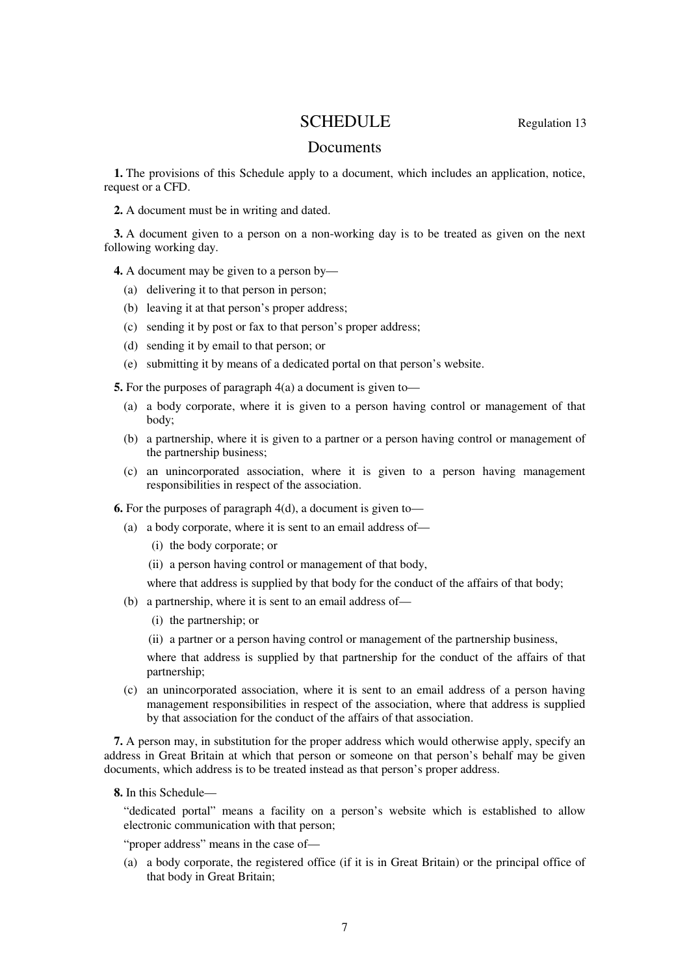# SCHEDULE Regulation 13

## Documents

**1.** The provisions of this Schedule apply to a document, which includes an application, notice, request or a CFD.

**2.** A document must be in writing and dated.

**3.** A document given to a person on a non-working day is to be treated as given on the next following working day.

**4.** A document may be given to a person by—

- (a) delivering it to that person in person;
- (b) leaving it at that person's proper address;
- (c) sending it by post or fax to that person's proper address;
- (d) sending it by email to that person; or
- (e) submitting it by means of a dedicated portal on that person's website.

**5.** For the purposes of paragraph 4(a) a document is given to—

- (a) a body corporate, where it is given to a person having control or management of that body;
- (b) a partnership, where it is given to a partner or a person having control or management of the partnership business;
- (c) an unincorporated association, where it is given to a person having management responsibilities in respect of the association.

**6.** For the purposes of paragraph 4(d), a document is given to—

- (a) a body corporate, where it is sent to an email address of—
	- (i) the body corporate; or

(ii) a person having control or management of that body,

where that address is supplied by that body for the conduct of the affairs of that body;

- (b) a partnership, where it is sent to an email address of—
	- (i) the partnership; or
	- (ii) a partner or a person having control or management of the partnership business,

where that address is supplied by that partnership for the conduct of the affairs of that partnership;

(c) an unincorporated association, where it is sent to an email address of a person having management responsibilities in respect of the association, where that address is supplied by that association for the conduct of the affairs of that association.

**7.** A person may, in substitution for the proper address which would otherwise apply, specify an address in Great Britain at which that person or someone on that person's behalf may be given documents, which address is to be treated instead as that person's proper address.

**8.** In this Schedule—

"dedicated portal" means a facility on a person's website which is established to allow electronic communication with that person;

"proper address" means in the case of—

(a) a body corporate, the registered office (if it is in Great Britain) or the principal office of that body in Great Britain;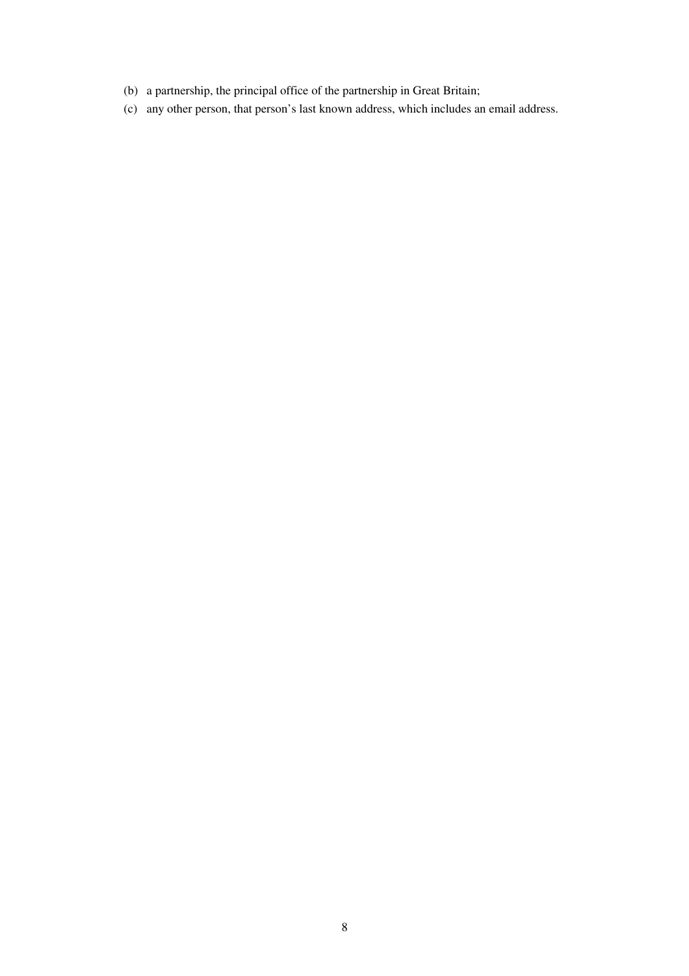- (b) a partnership, the principal office of the partnership in Great Britain;
- (c) any other person, that person's last known address, which includes an email address.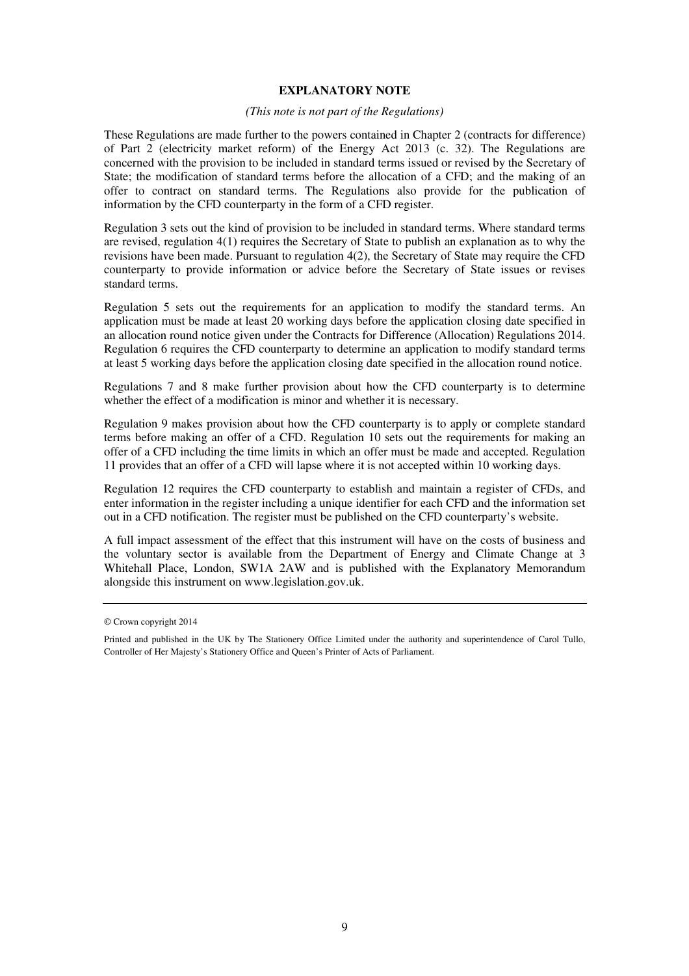#### **EXPLANATORY NOTE**

#### *(This note is not part of the Regulations)*

These Regulations are made further to the powers contained in Chapter 2 (contracts for difference) of Part 2 (electricity market reform) of the Energy Act 2013 (c. 32). The Regulations are concerned with the provision to be included in standard terms issued or revised by the Secretary of State; the modification of standard terms before the allocation of a CFD; and the making of an offer to contract on standard terms. The Regulations also provide for the publication of information by the CFD counterparty in the form of a CFD register.

Regulation 3 sets out the kind of provision to be included in standard terms. Where standard terms are revised, regulation 4(1) requires the Secretary of State to publish an explanation as to why the revisions have been made. Pursuant to regulation 4(2), the Secretary of State may require the CFD counterparty to provide information or advice before the Secretary of State issues or revises standard terms.

Regulation 5 sets out the requirements for an application to modify the standard terms. An application must be made at least 20 working days before the application closing date specified in an allocation round notice given under the Contracts for Difference (Allocation) Regulations 2014. Regulation 6 requires the CFD counterparty to determine an application to modify standard terms at least 5 working days before the application closing date specified in the allocation round notice.

Regulations 7 and 8 make further provision about how the CFD counterparty is to determine whether the effect of a modification is minor and whether it is necessary.

Regulation 9 makes provision about how the CFD counterparty is to apply or complete standard terms before making an offer of a CFD. Regulation 10 sets out the requirements for making an offer of a CFD including the time limits in which an offer must be made and accepted. Regulation 11 provides that an offer of a CFD will lapse where it is not accepted within 10 working days.

Regulation 12 requires the CFD counterparty to establish and maintain a register of CFDs, and enter information in the register including a unique identifier for each CFD and the information set out in a CFD notification. The register must be published on the CFD counterparty's website.

A full impact assessment of the effect that this instrument will have on the costs of business and the voluntary sector is available from the Department of Energy and Climate Change at 3 Whitehall Place, London, SW1A 2AW and is published with the Explanatory Memorandum alongside this instrument on www.legislation.gov.uk.

<sup>©</sup> Crown copyright 2014

Printed and published in the UK by The Stationery Office Limited under the authority and superintendence of Carol Tullo, Controller of Her Majesty's Stationery Office and Queen's Printer of Acts of Parliament.